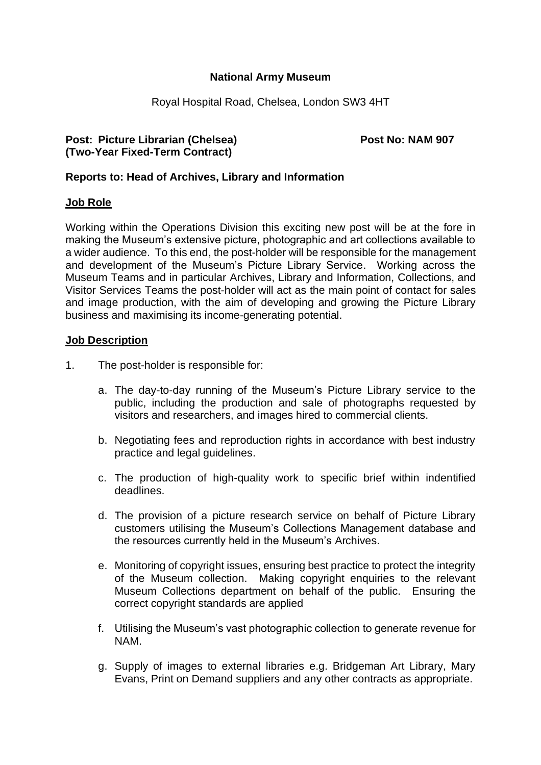## **National Army Museum**

Royal Hospital Road, Chelsea, London SW3 4HT

## **Post:** Picture Librarian (Chelsea) **Post No: NAM 907 (Two-Year Fixed-Term Contract)**

## **Reports to: Head of Archives, Library and Information**

#### **Job Role**

Working within the Operations Division this exciting new post will be at the fore in making the Museum's extensive picture, photographic and art collections available to a wider audience. To this end, the post-holder will be responsible for the management and development of the Museum's Picture Library Service. Working across the Museum Teams and in particular Archives, Library and Information, Collections, and Visitor Services Teams the post-holder will act as the main point of contact for sales and image production, with the aim of developing and growing the Picture Library business and maximising its income-generating potential.

#### **Job Description**

- 1. The post-holder is responsible for:
	- a. The day-to-day running of the Museum's Picture Library service to the public, including the production and sale of photographs requested by visitors and researchers, and images hired to commercial clients.
	- b. Negotiating fees and reproduction rights in accordance with best industry practice and legal guidelines.
	- c. The production of high-quality work to specific brief within indentified deadlines.
	- d. The provision of a picture research service on behalf of Picture Library customers utilising the Museum's Collections Management database and the resources currently held in the Museum's Archives.
	- e. Monitoring of copyright issues, ensuring best practice to protect the integrity of the Museum collection. Making copyright enquiries to the relevant Museum Collections department on behalf of the public. Ensuring the correct copyright standards are applied
	- f. Utilising the Museum's vast photographic collection to generate revenue for NAM.
	- g. Supply of images to external libraries e.g. Bridgeman Art Library, Mary Evans, Print on Demand suppliers and any other contracts as appropriate.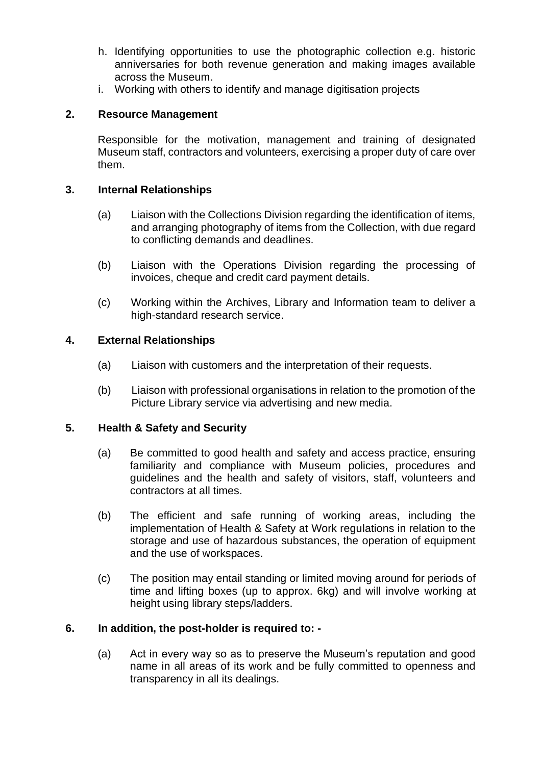- h. Identifying opportunities to use the photographic collection e.g. historic anniversaries for both revenue generation and making images available across the Museum.
- i. Working with others to identify and manage digitisation projects

# **2. Resource Management**

Responsible for the motivation, management and training of designated Museum staff, contractors and volunteers, exercising a proper duty of care over them.

## **3. Internal Relationships**

- (a) Liaison with the Collections Division regarding the identification of items, and arranging photography of items from the Collection, with due regard to conflicting demands and deadlines.
- (b) Liaison with the Operations Division regarding the processing of invoices, cheque and credit card payment details.
- (c) Working within the Archives, Library and Information team to deliver a high-standard research service.

# **4. External Relationships**

- (a) Liaison with customers and the interpretation of their requests.
- (b) Liaison with professional organisations in relation to the promotion of the Picture Library service via advertising and new media.

# **5. Health & Safety and Security**

- (a) Be committed to good health and safety and access practice, ensuring familiarity and compliance with Museum policies, procedures and guidelines and the health and safety of visitors, staff, volunteers and contractors at all times.
- (b) The efficient and safe running of working areas, including the implementation of Health & Safety at Work regulations in relation to the storage and use of hazardous substances, the operation of equipment and the use of workspaces.
- (c) The position may entail standing or limited moving around for periods of time and lifting boxes (up to approx. 6kg) and will involve working at height using library steps/ladders.

# **6. In addition, the post-holder is required to: -**

(a) Act in every way so as to preserve the Museum's reputation and good name in all areas of its work and be fully committed to openness and transparency in all its dealings.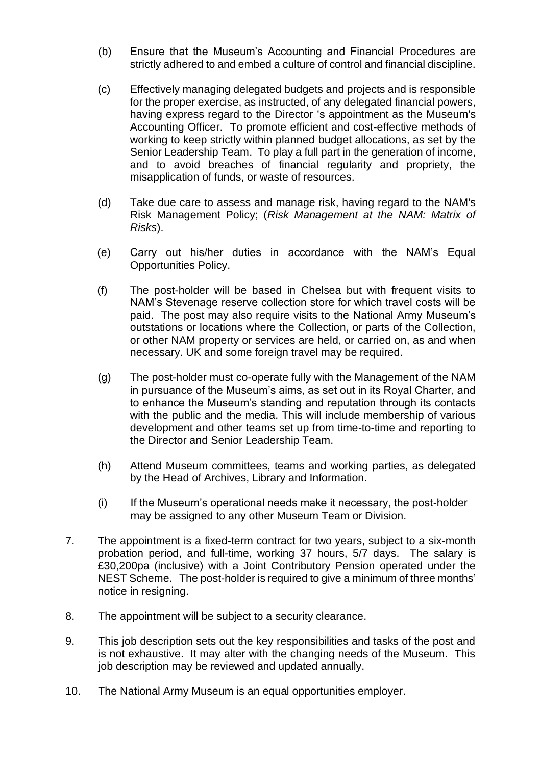- (b) Ensure that the Museum's Accounting and Financial Procedures are strictly adhered to and embed a culture of control and financial discipline.
- (c) Effectively managing delegated budgets and projects and is responsible for the proper exercise, as instructed, of any delegated financial powers, having express regard to the Director 's appointment as the Museum's Accounting Officer. To promote efficient and cost-effective methods of working to keep strictly within planned budget allocations, as set by the Senior Leadership Team. To play a full part in the generation of income, and to avoid breaches of financial regularity and propriety, the misapplication of funds, or waste of resources.
- (d) Take due care to assess and manage risk, having regard to the NAM's Risk Management Policy; (*Risk Management at the NAM: Matrix of Risks*).
- (e) Carry out his/her duties in accordance with the NAM's Equal Opportunities Policy.
- (f) The post-holder will be based in Chelsea but with frequent visits to NAM's Stevenage reserve collection store for which travel costs will be paid. The post may also require visits to the National Army Museum's outstations or locations where the Collection, or parts of the Collection, or other NAM property or services are held, or carried on, as and when necessary. UK and some foreign travel may be required.
- (g) The post-holder must co-operate fully with the Management of the NAM in pursuance of the Museum's aims, as set out in its Royal Charter, and to enhance the Museum's standing and reputation through its contacts with the public and the media. This will include membership of various development and other teams set up from time-to-time and reporting to the Director and Senior Leadership Team.
- (h) Attend Museum committees, teams and working parties, as delegated by the Head of Archives, Library and Information.
- (i) If the Museum's operational needs make it necessary, the post-holder may be assigned to any other Museum Team or Division.
- 7. The appointment is a fixed-term contract for two years, subject to a six-month probation period, and full-time, working 37 hours, 5/7 days. The salary is £30,200pa (inclusive) with a Joint Contributory Pension operated under the NEST Scheme. The post-holder is required to give a minimum of three months' notice in resigning.
- 8. The appointment will be subject to a security clearance.
- 9. This job description sets out the key responsibilities and tasks of the post and is not exhaustive. It may alter with the changing needs of the Museum. This job description may be reviewed and updated annually.
- 10. The National Army Museum is an equal opportunities employer.